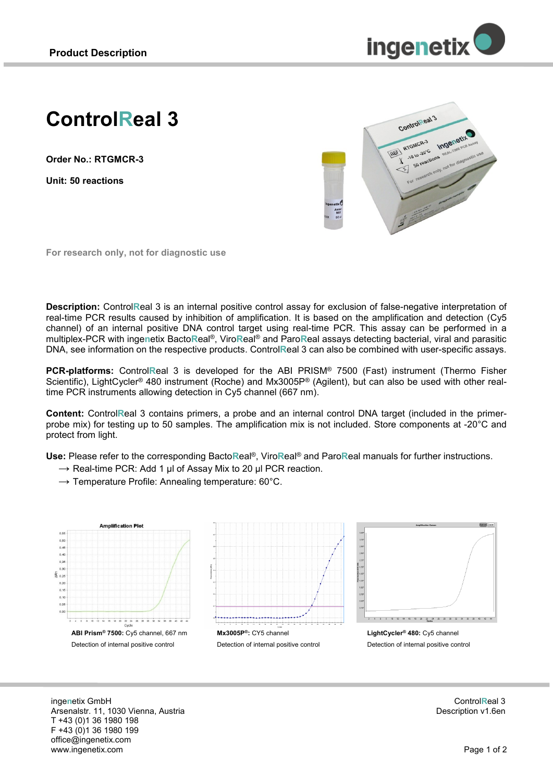

# **ControlReal 3**

**Order No.: RTGMCR-3**

**Unit: 50 reactions**



**For research only, not for diagnostic use**

**Description:** Control**R**eal 3 is an internal positive control assay for exclusion of false-negative interpretation of real-time PCR results caused by inhibition of amplification. It is based on the amplification and detection (Cy5 channel) of an internal positive DNA control target using real-time PCR. This assay can be performed in a multiplex-PCR with inge**n**etix Bacto**R**eal®, Viro**R**eal® and Paro**R**eal assays detecting bacterial, viral and parasitic DNA, see information on the respective products. Control**R**eal 3 can also be combined with user-specific assays.

**PCR-platforms:** Control**R**eal 3 is developed for the ABI PRISM® 7500 (Fast) instrument (Thermo Fisher Scientific), LightCycler® 480 instrument (Roche) and Mx3005P® (Agilent), but can also be used with other realtime PCR instruments allowing detection in Cy5 channel (667 nm).

**Content:** Control**R**eal 3 contains primers, a probe and an internal control DNA target (included in the primerprobe mix) for testing up to 50 samples. The amplification mix is not included. Store components at -20°C and protect from light.

**Use:** Please refer to the corresponding Bacto**R**eal®, Viro**R**eal® and Paro**R**eal manuals for further instructions.

- $\rightarrow$  Real-time PCR: Add 1 µl of Assay Mix to 20 µl PCR reaction.
- $\rightarrow$  Temperature Profile: Annealing temperature: 60°C.



inge**n**etix GmbH Arsenalstr. 11, 1030 Vienna, Austria T +43 (0)1 36 1980 198 F +43 (0)1 36 1980 199 office@ingenetix.com www.ingenetix.com

Control**R**eal 3 Description v1.6en